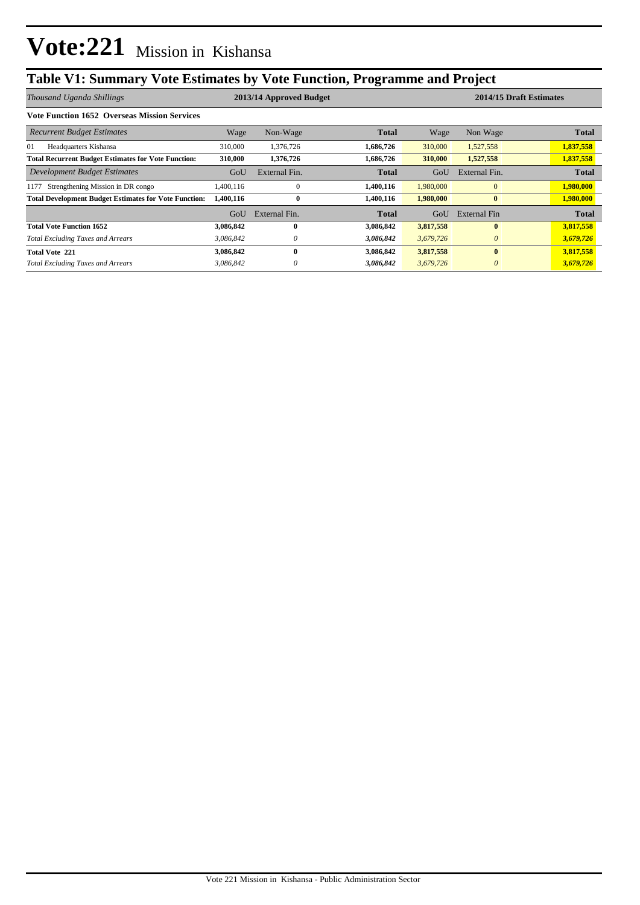## **Table V1: Summary Vote Estimates by Vote Function, Programme and Project**

| Thousand Uganda Shillings                                    | 2013/14 Approved Budget |               |              |           | 2014/15 Draft Estimates |              |  |
|--------------------------------------------------------------|-------------------------|---------------|--------------|-----------|-------------------------|--------------|--|
| <b>Vote Function 1652 Overseas Mission Services</b>          |                         |               |              |           |                         |              |  |
| <b>Recurrent Budget Estimates</b>                            | Wage                    | Non-Wage      | <b>Total</b> | Wage      | Non Wage                | <b>Total</b> |  |
| 01<br>Headquarters Kishansa                                  | 310,000                 | 1,376,726     | 1,686,726    | 310,000   | 1,527,558               | 1,837,558    |  |
| <b>Total Recurrent Budget Estimates for Vote Function:</b>   | 310,000                 | 1,376,726     | 1,686,726    | 310,000   | 1,527,558               | 1,837,558    |  |
| Development Budget Estimates                                 | GoU                     | External Fin. | <b>Total</b> | GoU       | External Fin.           | <b>Total</b> |  |
| Strengthening Mission in DR congo<br>1177                    | 1,400,116               | $\Omega$      | 1,400,116    | 1,980,000 | $\overline{0}$          | 1,980,000    |  |
| <b>Total Development Budget Estimates for Vote Function:</b> | 1,400,116               | $\bf{0}$      | 1,400,116    | 1,980,000 | $\bf{0}$                | 1,980,000    |  |
|                                                              | GoU                     | External Fin. | Total        | GoU       | External Fin            | <b>Total</b> |  |
| <b>Total Vote Function 1652</b>                              | 3,086,842               | 0             | 3,086,842    | 3,817,558 | $\mathbf{0}$            | 3,817,558    |  |
| <b>Total Excluding Taxes and Arrears</b>                     | 3.086.842               | 0             | 3,086,842    | 3,679,726 | $\theta$                | 3,679,726    |  |
| <b>Total Vote 221</b>                                        | 3,086,842               | 0             | 3,086,842    | 3,817,558 | $\mathbf{0}$            | 3,817,558    |  |
| <b>Total Excluding Taxes and Arrears</b>                     | 3,086,842               | 0             | 3,086,842    | 3,679,726 | $\theta$                | 3,679,726    |  |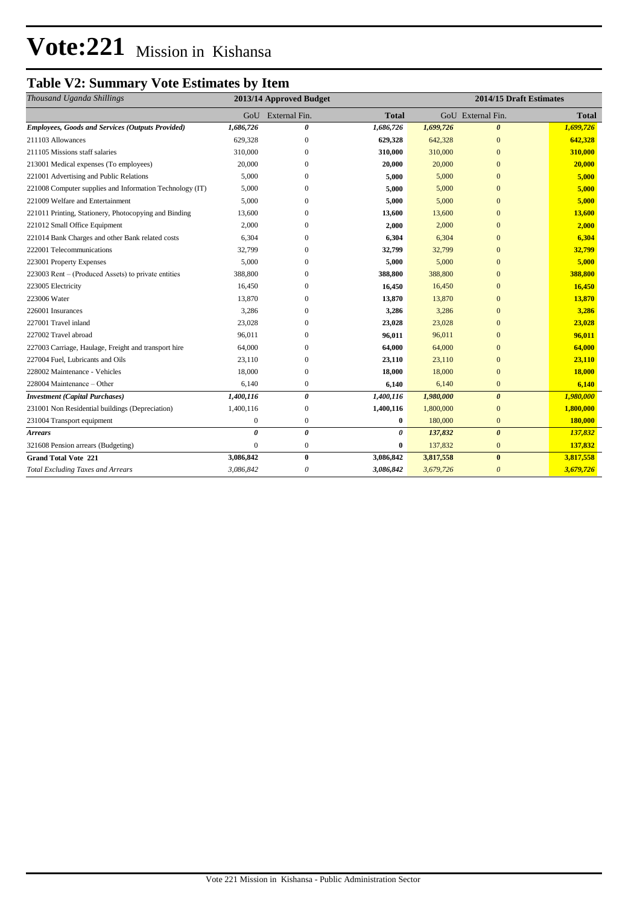# **Vote:221** Mission in Kishansa

### **Table V2: Summary Vote Estimates by Item**

| Thousand Uganda Shillings                                | 2013/14 Approved Budget |                       | 2014/15 Draft Estimates |           |                       |              |
|----------------------------------------------------------|-------------------------|-----------------------|-------------------------|-----------|-----------------------|--------------|
|                                                          | GoU                     | External Fin.         | <b>Total</b>            |           | GoU External Fin.     | <b>Total</b> |
| <b>Employees, Goods and Services (Outputs Provided)</b>  | 1,686,726               | 0                     | 1,686,726               | 1,699,726 | $\boldsymbol{\theta}$ | 1,699,726    |
| 211103 Allowances                                        | 629.328                 | $\mathbf{0}$          | 629,328                 | 642,328   | $\mathbf{0}$          | 642,328      |
| 211105 Missions staff salaries                           | 310,000                 | $\mathbf{0}$          | 310,000                 | 310,000   | $\overline{0}$        | 310,000      |
| 213001 Medical expenses (To employees)                   | 20,000                  | 0                     | 20,000                  | 20,000    | $\mathbf{0}$          | 20,000       |
| 221001 Advertising and Public Relations                  | 5,000                   | $\Omega$              | 5,000                   | 5,000     | $\overline{0}$        | 5,000        |
| 221008 Computer supplies and Information Technology (IT) | 5,000                   | 0                     | 5,000                   | 5,000     | $\mathbf{0}$          | 5,000        |
| 221009 Welfare and Entertainment                         | 5,000                   | $\Omega$              | 5,000                   | 5,000     | $\Omega$              | 5,000        |
| 221011 Printing, Stationery, Photocopying and Binding    | 13,600                  | $\mathbf{0}$          | 13,600                  | 13,600    | $\overline{0}$        | 13,600       |
| 221012 Small Office Equipment                            | 2,000                   | $\Omega$              | 2,000                   | 2,000     | $\Omega$              | 2,000        |
| 221014 Bank Charges and other Bank related costs         | 6,304                   | $\Omega$              | 6,304                   | 6,304     | $\overline{0}$        | 6,304        |
| 222001 Telecommunications                                | 32.799                  | 0                     | 32,799                  | 32,799    | $\mathbf{0}$          | 32,799       |
| 223001 Property Expenses                                 | 5,000                   | $\Omega$              | 5,000                   | 5,000     | $\overline{0}$        | 5,000        |
| 223003 Rent - (Produced Assets) to private entities      | 388,800                 | $\mathbf{0}$          | 388,800                 | 388,800   | $\mathbf{0}$          | 388,800      |
| 223005 Electricity                                       | 16,450                  | $\mathbf{0}$          | 16,450                  | 16,450    | $\mathbf{0}$          | 16,450       |
| 223006 Water                                             | 13,870                  | 0                     | 13,870                  | 13,870    | $\mathbf{0}$          | 13,870       |
| 226001 Insurances                                        | 3,286                   | $\Omega$              | 3,286                   | 3,286     | $\overline{0}$        | 3,286        |
| 227001 Travel inland                                     | 23,028                  | $\mathbf{0}$          | 23,028                  | 23,028    | $\mathbf{0}$          | 23,028       |
| 227002 Travel abroad                                     | 96,011                  | $\Omega$              | 96,011                  | 96,011    | $\mathbf{0}$          | 96,011       |
| 227003 Carriage, Haulage, Freight and transport hire     | 64,000                  | $\mathbf{0}$          | 64,000                  | 64,000    | $\overline{0}$        | 64,000       |
| 227004 Fuel, Lubricants and Oils                         | 23,110                  | $\mathbf{0}$          | 23,110                  | 23,110    | $\Omega$              | 23,110       |
| 228002 Maintenance - Vehicles                            | 18,000                  | $\mathbf{0}$          | 18,000                  | 18,000    | $\mathbf{0}$          | 18,000       |
| 228004 Maintenance – Other                               | 6,140                   | $\boldsymbol{0}$      | 6,140                   | 6,140     | $\mathbf{0}$          | 6,140        |
| <b>Investment</b> (Capital Purchases)                    | 1,400,116               | $\boldsymbol{\theta}$ | 1,400,116               | 1,980,000 | $\boldsymbol{\theta}$ | 1,980,000    |
| 231001 Non Residential buildings (Depreciation)          | 1,400,116               | $\mathbf{0}$          | 1,400,116               | 1,800,000 | $\overline{0}$        | 1,800,000    |
| 231004 Transport equipment                               | $\boldsymbol{0}$        | $\boldsymbol{0}$      | $\bf{0}$                | 180,000   | $\mathbf{0}$          | 180,000      |
| <b>Arrears</b>                                           | $\theta$                | $\boldsymbol{\theta}$ | 0                       | 137,832   | $\boldsymbol{\theta}$ | 137,832      |
| 321608 Pension arrears (Budgeting)                       | $\Omega$                | $\mathbf{0}$          | $\bf{0}$                | 137,832   | $\mathbf{0}$          | 137,832      |
| <b>Grand Total Vote 221</b>                              | 3,086,842               | $\bf{0}$              | 3,086,842               | 3,817,558 | $\bf{0}$              | 3,817,558    |
| <b>Total Excluding Taxes and Arrears</b>                 | 3,086,842               | 0                     | 3,086,842               | 3,679,726 | $\theta$              | 3,679,726    |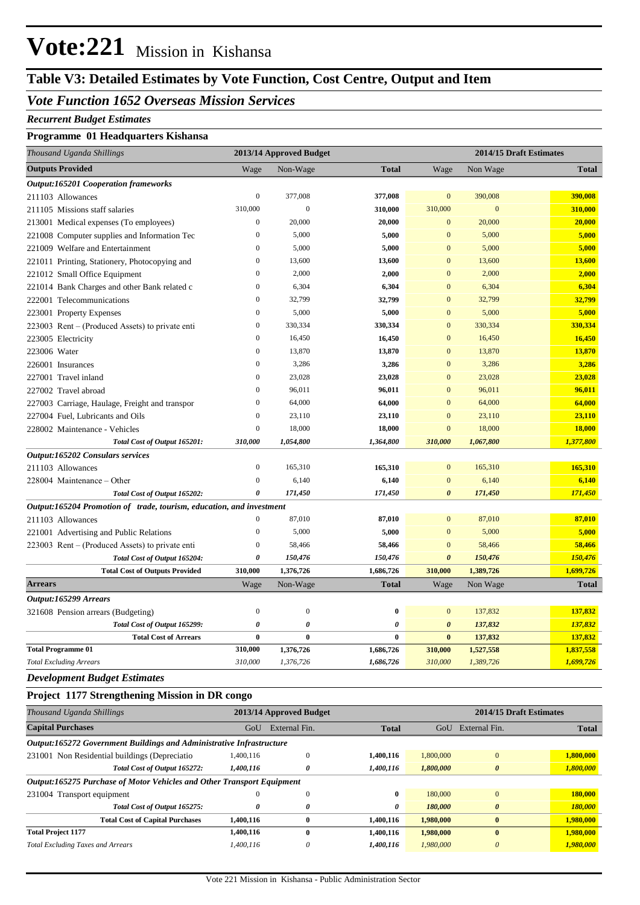# **Vote:221** Mission in Kishansa

## **Table V3: Detailed Estimates by Vote Function, Cost Centre, Output and Item**

### *Vote Function 1652 Overseas Mission Services*

#### *Recurrent Budget Estimates*

#### **Programme 01 Headquarters Kishansa**

| Thousand Uganda Shillings                                            |                  | 2013/14 Approved Budget | 2014/15 Draft Estimates |                       |              |              |
|----------------------------------------------------------------------|------------------|-------------------------|-------------------------|-----------------------|--------------|--------------|
| <b>Outputs Provided</b>                                              | Wage             | Non-Wage                | <b>Total</b>            | Wage                  | Non Wage     | <b>Total</b> |
| <b>Output:165201 Cooperation frameworks</b>                          |                  |                         |                         |                       |              |              |
| 211103 Allowances                                                    | $\boldsymbol{0}$ | 377,008                 | 377,008                 | $\mathbf{0}$          | 390,008      | 390,008      |
| 211105 Missions staff salaries                                       | 310,000          | $\overline{0}$          | 310,000                 | 310,000               | $\mathbf{0}$ | 310,000      |
| 213001 Medical expenses (To employees)                               | $\mathbf{0}$     | 20,000                  | 20,000                  | $\overline{0}$        | 20,000       | 20,000       |
| 221008 Computer supplies and Information Tec                         | $\boldsymbol{0}$ | 5,000                   | 5,000                   | $\mathbf{0}$          | 5,000        | 5,000        |
| 221009 Welfare and Entertainment                                     | $\boldsymbol{0}$ | 5,000                   | 5,000                   | $\mathbf{0}$          | 5,000        | 5,000        |
| 221011 Printing, Stationery, Photocopying and                        | $\boldsymbol{0}$ | 13,600                  | 13,600                  | $\overline{0}$        | 13,600       | 13,600       |
| 221012 Small Office Equipment                                        | $\boldsymbol{0}$ | 2,000                   | 2,000                   | $\mathbf{0}$          | 2,000        | 2,000        |
| 221014 Bank Charges and other Bank related c                         | $\mathbf{0}$     | 6,304                   | 6,304                   | $\overline{0}$        | 6,304        | 6,304        |
| 222001 Telecommunications                                            | $\mathbf{0}$     | 32,799                  | 32,799                  | $\overline{0}$        | 32,799       | 32,799       |
| 223001 Property Expenses                                             | $\mathbf{0}$     | 5,000                   | 5,000                   | $\mathbf{0}$          | 5,000        | 5,000        |
| 223003 Rent – (Produced Assets) to private enti                      | $\mathbf{0}$     | 330,334                 | 330,334                 | $\mathbf{0}$          | 330,334      | 330,334      |
| 223005 Electricity                                                   | $\mathbf{0}$     | 16,450                  | 16,450                  | $\overline{0}$        | 16,450       | 16,450       |
| 223006 Water                                                         | $\mathbf{0}$     | 13,870                  | 13,870                  | $\overline{0}$        | 13,870       | 13,870       |
| 226001 Insurances                                                    | $\boldsymbol{0}$ | 3,286                   | 3,286                   | $\mathbf{0}$          | 3,286        | 3,286        |
| 227001 Travel inland                                                 | $\boldsymbol{0}$ | 23,028                  | 23,028                  | $\boldsymbol{0}$      | 23,028       | 23,028       |
| 227002 Travel abroad                                                 | $\mathbf{0}$     | 96,011                  | 96,011                  | $\overline{0}$        | 96,011       | 96,011       |
| 227003 Carriage, Haulage, Freight and transpor                       | $\mathbf{0}$     | 64,000                  | 64,000                  | $\mathbf{0}$          | 64,000       | 64,000       |
| 227004 Fuel. Lubricants and Oils                                     | $\overline{0}$   | 23,110                  | 23,110                  | $\overline{0}$        | 23,110       | 23,110       |
| 228002 Maintenance - Vehicles                                        | $\mathbf{0}$     | 18,000                  | 18,000                  | $\overline{0}$        | 18,000       | 18,000       |
| Total Cost of Output 165201:                                         | 310,000          | 1,054,800               | 1,364,800               | 310,000               | 1,067,800    | 1,377,800    |
| <b>Output:165202 Consulars services</b>                              |                  |                         |                         |                       |              |              |
| 211103 Allowances                                                    | $\boldsymbol{0}$ | 165,310                 | 165,310                 | $\mathbf{0}$          | 165,310      | 165,310      |
| 228004 Maintenance – Other                                           | $\mathbf{0}$     | 6,140                   | 6,140                   | $\mathbf{0}$          | 6,140        | 6,140        |
| Total Cost of Output 165202:                                         | $\theta$         | 171,450                 | 171,450                 | $\boldsymbol{\theta}$ | 171,450      | 171,450      |
| Output:165204 Promotion of trade, tourism, education, and investment |                  |                         |                         |                       |              |              |
| 211103 Allowances                                                    | $\boldsymbol{0}$ | 87,010                  | 87,010                  | $\mathbf{0}$          | 87,010       | 87,010       |
| 221001 Advertising and Public Relations                              | $\mathbf{0}$     | 5,000                   | 5,000                   | $\mathbf{0}$          | 5,000        | 5,000        |
| 223003 Rent – (Produced Assets) to private enti                      | $\mathbf{0}$     | 58,466                  | 58,466                  | $\overline{0}$        | 58,466       | 58,466       |
| Total Cost of Output 165204:                                         | $\pmb{\theta}$   | 150,476                 | 150,476                 | $\boldsymbol{\theta}$ | 150,476      | 150,476      |
| <b>Total Cost of Outputs Provided</b>                                | 310,000          | 1,376,726               | 1,686,726               | 310,000               | 1,389,726    | 1,699,726    |
| <b>Arrears</b>                                                       | Wage             | Non-Wage                | <b>Total</b>            | Wage                  | Non Wage     | <b>Total</b> |
| Output:165299 Arrears                                                |                  |                         |                         |                       |              |              |
| 321608 Pension arrears (Budgeting)                                   | $\boldsymbol{0}$ | $\overline{0}$          | $\bf{0}$                | $\boldsymbol{0}$      | 137,832      | 137,832      |
| Total Cost of Output 165299:                                         | $\pmb{\theta}$   | 0                       | $\pmb{\theta}$          | $\boldsymbol{\theta}$ | 137,832      | 137,832      |
| <b>Total Cost of Arrears</b>                                         | $\bf{0}$         | $\bf{0}$                | $\bf{0}$                | $\bf{0}$              | 137,832      | 137,832      |
| <b>Total Programme 01</b>                                            | 310,000          | 1,376,726               | 1,686,726               | 310,000               | 1,527,558    | 1,837,558    |
| <b>Total Excluding Arrears</b>                                       | 310,000          | 1,376,726               | 1,686,726               | 310,000               | 1,389,726    | 1,699,726    |
| <b>Development Budget Estimates</b>                                  |                  |                         |                         |                       |              |              |

#### **Project 1177 Strengthening Mission in DR congo**

| Thousand Uganda Shillings                                              | 2014/15 Draft Estimates<br>2013/14 Approved Budget |               |              |           |                       |              |  |  |
|------------------------------------------------------------------------|----------------------------------------------------|---------------|--------------|-----------|-----------------------|--------------|--|--|
| <b>Capital Purchases</b>                                               | GoU                                                | External Fin. | <b>Total</b> | GoU       | External Fin.         | <b>Total</b> |  |  |
| Output:165272 Government Buildings and Administrative Infrastructure   |                                                    |               |              |           |                       |              |  |  |
| 231001 Non Residential buildings (Depreciatio                          | 1,400,116                                          |               | 1,400,116    | 1,800,000 | $\Omega$              | 1,800,000    |  |  |
| Total Cost of Output 165272:                                           | 1,400,116                                          | 0             | 1,400,116    | 1,800,000 | $\boldsymbol{\theta}$ | 1,800,000    |  |  |
| Output:165275 Purchase of Motor Vehicles and Other Transport Equipment |                                                    |               |              |           |                       |              |  |  |
| 231004 Transport equipment                                             |                                                    |               | 0            | 180,000   | $\Omega$              | 180,000      |  |  |
| Total Cost of Output 165275:                                           | 0                                                  | 0             | 0            | 180,000   | $\boldsymbol{\theta}$ | 180,000      |  |  |
| <b>Total Cost of Capital Purchases</b>                                 | 1,400,116                                          | $\bf{0}$      | 1,400,116    | 1,980,000 | $\mathbf{0}$          | 1,980,000    |  |  |
| <b>Total Project 1177</b>                                              | 1,400,116                                          | $\mathbf 0$   | 1,400,116    | 1,980,000 | $\mathbf{0}$          | 1,980,000    |  |  |
| <b>Total Excluding Taxes and Arrears</b>                               | 1,400,116                                          | 0             | 1,400,116    | 1,980,000 | $\theta$              | 1,980,000    |  |  |